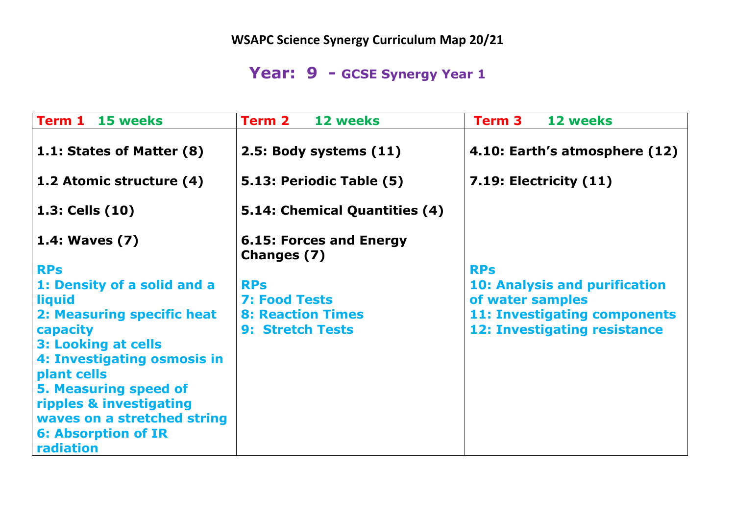**WSAPC Science Synergy Curriculum Map 20/21**

## **Year: 9 - GCSE Synergy Year 1**

| <b>Term 1 15 weeks</b>       | Term 2<br>12 weeks                            | Term 3<br><b>12 weeks</b>            |
|------------------------------|-----------------------------------------------|--------------------------------------|
| 1.1: States of Matter (8)    | 2.5: Body systems (11)                        | 4.10: Earth's atmosphere (12)        |
| 1.2 Atomic structure (4)     | 5.13: Periodic Table (5)                      | $7.19$ : Electricity $(11)$          |
| 1.3: Cells (10)              | 5.14: Chemical Quantities (4)                 |                                      |
| 1.4: Waves (7)               | <b>6.15: Forces and Energy</b><br>Changes (7) |                                      |
| <b>RPs</b>                   |                                               | <b>RPs</b>                           |
| 1: Density of a solid and a  | <b>RPs</b>                                    | <b>10: Analysis and purification</b> |
| liquid                       | 7: Food Tests                                 | of water samples                     |
| 2: Measuring specific heat   | <b>8: Reaction Times</b>                      | <b>11: Investigating components</b>  |
| capacity                     | <b>9: Stretch Tests</b>                       | <b>12: Investigating resistance</b>  |
| <b>3: Looking at cells</b>   |                                               |                                      |
| 4: Investigating osmosis in  |                                               |                                      |
| plant cells                  |                                               |                                      |
| <b>5. Measuring speed of</b> |                                               |                                      |
| ripples & investigating      |                                               |                                      |
| waves on a stretched string  |                                               |                                      |
| <b>6: Absorption of IR</b>   |                                               |                                      |
| radiation                    |                                               |                                      |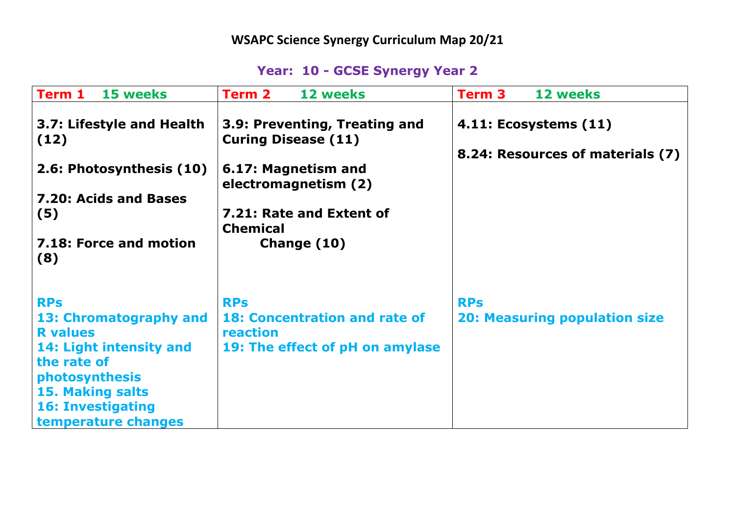## **Year: 10 - GCSE Synergy Year 2**

| Term 1<br>15 weeks                                                                     | <b>12 weeks</b><br><b>Term 2</b>                                                                           | <b>Term 3</b><br><b>12 weeks</b>                          |
|----------------------------------------------------------------------------------------|------------------------------------------------------------------------------------------------------------|-----------------------------------------------------------|
| 3.7: Lifestyle and Health<br>(12)<br>2.6: Photosynthesis (10)<br>7.20: Acids and Bases | 3.9: Preventing, Treating and<br><b>Curing Disease (11)</b><br>6.17: Magnetism and<br>electromagnetism (2) | 4.11: Ecosystems (11)<br>8.24: Resources of materials (7) |
| (5)                                                                                    | 7.21: Rate and Extent of<br><b>Chemical</b>                                                                |                                                           |
| 7.18: Force and motion<br>(8)                                                          | Change (10)                                                                                                |                                                           |
| <b>RPs</b>                                                                             | <b>RPs</b>                                                                                                 | <b>RPs</b>                                                |
| 13: Chromatography and<br><b>R</b> values                                              | <b>18: Concentration and rate of</b><br>reaction                                                           | <b>20: Measuring population size</b>                      |
| 14: Light intensity and                                                                | 19: The effect of pH on amylase                                                                            |                                                           |
| the rate of<br>photosynthesis                                                          |                                                                                                            |                                                           |
| <b>15. Making salts</b>                                                                |                                                                                                            |                                                           |
| <b>16: Investigating</b><br>temperature changes                                        |                                                                                                            |                                                           |